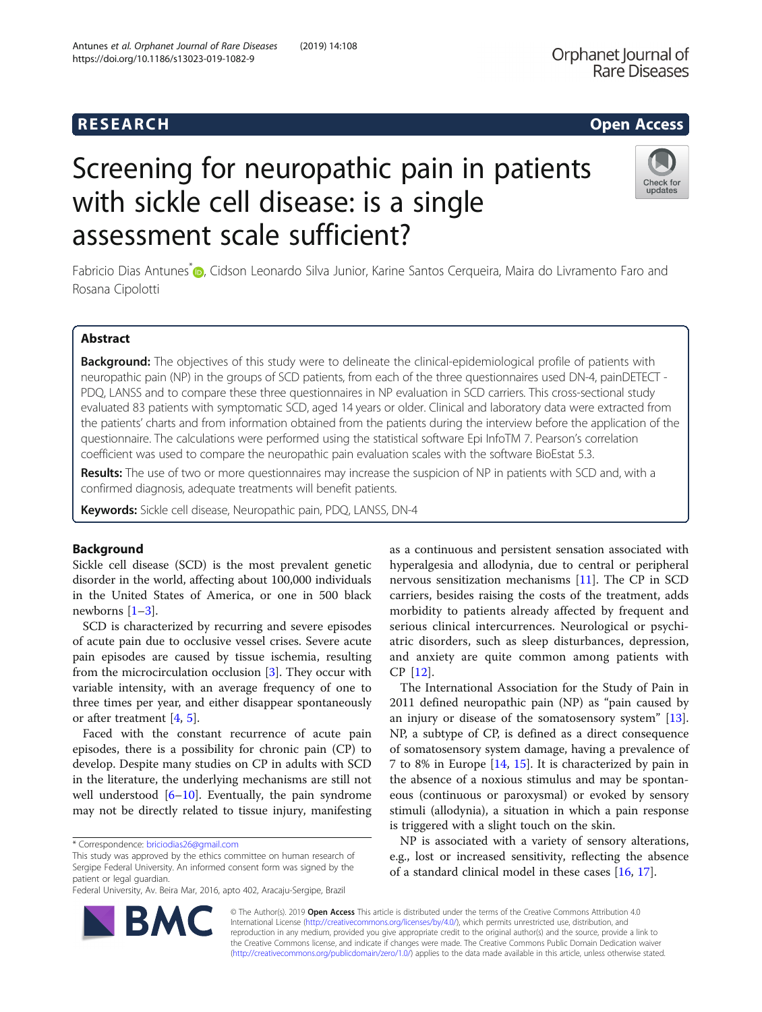Orphanet Journal of **Rare Diseases** 

# Screening for neuropathic pain in patients with sickle cell disease: is a single assessment scale sufficient?



Fabricio Dias Antunes<sup>\*</sup> , Cidson Leonardo Silva Junior, Karine Santos Cerqueira, Maira do Livramento Faro and Rosana Cipolotti

# Abstract

Background: The objectives of this study were to delineate the clinical-epidemiological profile of patients with neuropathic pain (NP) in the groups of SCD patients, from each of the three questionnaires used DN-4, painDETECT - PDQ, LANSS and to compare these three questionnaires in NP evaluation in SCD carriers. This cross-sectional study evaluated 83 patients with symptomatic SCD, aged 14 years or older. Clinical and laboratory data were extracted from the patients' charts and from information obtained from the patients during the interview before the application of the questionnaire. The calculations were performed using the statistical software Epi InfoTM 7. Pearson's correlation coefficient was used to compare the neuropathic pain evaluation scales with the software BioEstat 5.3.

Results: The use of two or more questionnaires may increase the suspicion of NP in patients with SCD and, with a confirmed diagnosis, adequate treatments will benefit patients.

Keywords: Sickle cell disease, Neuropathic pain, PDQ, LANSS, DN-4

# Background

Sickle cell disease (SCD) is the most prevalent genetic disorder in the world, affecting about 100,000 individuals in the United States of America, or one in 500 black newborns [[1](#page-5-0)–[3](#page-5-0)].

SCD is characterized by recurring and severe episodes of acute pain due to occlusive vessel crises. Severe acute pain episodes are caused by tissue ischemia, resulting from the microcirculation occlusion [\[3](#page-5-0)]. They occur with variable intensity, with an average frequency of one to three times per year, and either disappear spontaneously or after treatment [[4,](#page-5-0) [5\]](#page-5-0).

Faced with the constant recurrence of acute pain episodes, there is a possibility for chronic pain (CP) to develop. Despite many studies on CP in adults with SCD in the literature, the underlying mechanisms are still not well understood  $[6–10]$  $[6–10]$  $[6–10]$  $[6–10]$  $[6–10]$ . Eventually, the pain syndrome may not be directly related to tissue injury, manifesting

as a continuous and persistent sensation associated with hyperalgesia and allodynia, due to central or peripheral nervous sensitization mechanisms [\[11\]](#page-5-0). The CP in SCD carriers, besides raising the costs of the treatment, adds morbidity to patients already affected by frequent and serious clinical intercurrences. Neurological or psychiatric disorders, such as sleep disturbances, depression, and anxiety are quite common among patients with CP [\[12](#page-5-0)].

The International Association for the Study of Pain in 2011 defined neuropathic pain (NP) as "pain caused by an injury or disease of the somatosensory system" [\[13](#page-5-0)]. NP, a subtype of CP, is defined as a direct consequence of somatosensory system damage, having a prevalence of 7 to 8% in Europe [\[14](#page-5-0), [15](#page-5-0)]. It is characterized by pain in the absence of a noxious stimulus and may be spontaneous (continuous or paroxysmal) or evoked by sensory stimuli (allodynia), a situation in which a pain response is triggered with a slight touch on the skin.

NP is associated with a variety of sensory alterations, e.g., lost or increased sensitivity, reflecting the absence of a standard clinical model in these cases [\[16](#page-5-0), [17](#page-5-0)].



© The Author(s). 2019 Open Access This article is distributed under the terms of the Creative Commons Attribution 4.0 International License [\(http://creativecommons.org/licenses/by/4.0/](http://creativecommons.org/licenses/by/4.0/)), which permits unrestricted use, distribution, and reproduction in any medium, provided you give appropriate credit to the original author(s) and the source, provide a link to the Creative Commons license, and indicate if changes were made. The Creative Commons Public Domain Dedication waiver [\(http://creativecommons.org/publicdomain/zero/1.0/](http://creativecommons.org/publicdomain/zero/1.0/)) applies to the data made available in this article, unless otherwise stated.

<sup>\*</sup> Correspondence: [briciodias26@gmail.com](mailto:briciodias26@gmail.com)

This study was approved by the ethics committee on human research of Sergipe Federal University. An informed consent form was signed by the patient or legal guardian.

Federal University, Av. Beira Mar, 2016, apto 402, Aracaju-Sergipe, Brazil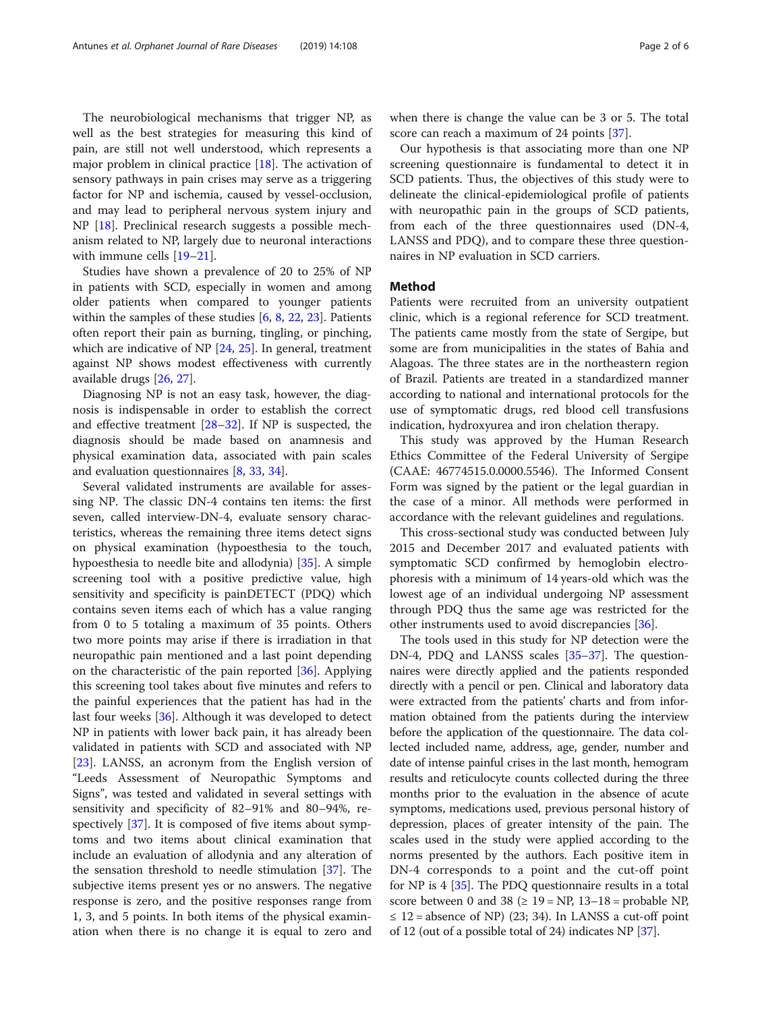The neurobiological mechanisms that trigger NP, as well as the best strategies for measuring this kind of pain, are still not well understood, which represents a major problem in clinical practice [\[18](#page-5-0)]. The activation of sensory pathways in pain crises may serve as a triggering factor for NP and ischemia, caused by vessel-occlusion, and may lead to peripheral nervous system injury and NP [\[18\]](#page-5-0). Preclinical research suggests a possible mechanism related to NP, largely due to neuronal interactions with immune cells [\[19](#page-5-0)–[21](#page-5-0)].

Studies have shown a prevalence of 20 to 25% of NP in patients with SCD, especially in women and among older patients when compared to younger patients within the samples of these studies [\[6](#page-5-0), [8](#page-5-0), [22](#page-5-0), [23\]](#page-5-0). Patients often report their pain as burning, tingling, or pinching, which are indicative of NP [\[24](#page-5-0), [25](#page-5-0)]. In general, treatment against NP shows modest effectiveness with currently available drugs [\[26](#page-5-0), [27\]](#page-5-0).

Diagnosing NP is not an easy task, however, the diagnosis is indispensable in order to establish the correct and effective treatment [\[28](#page-5-0)–[32\]](#page-5-0). If NP is suspected, the diagnosis should be made based on anamnesis and physical examination data, associated with pain scales and evaluation questionnaires [[8,](#page-5-0) [33,](#page-5-0) [34\]](#page-5-0).

Several validated instruments are available for assessing NP. The classic DN-4 contains ten items: the first seven, called interview-DN-4, evaluate sensory characteristics, whereas the remaining three items detect signs on physical examination (hypoesthesia to the touch, hypoesthesia to needle bite and allodynia) [\[35](#page-5-0)]. A simple screening tool with a positive predictive value, high sensitivity and specificity is painDETECT (PDQ) which contains seven items each of which has a value ranging from 0 to 5 totaling a maximum of 35 points. Others two more points may arise if there is irradiation in that neuropathic pain mentioned and a last point depending on the characteristic of the pain reported [\[36\]](#page-5-0). Applying this screening tool takes about five minutes and refers to the painful experiences that the patient has had in the last four weeks [\[36](#page-5-0)]. Although it was developed to detect NP in patients with lower back pain, it has already been validated in patients with SCD and associated with NP [[23\]](#page-5-0). LANSS, an acronym from the English version of "Leeds Assessment of Neuropathic Symptoms and Signs", was tested and validated in several settings with sensitivity and specificity of 82–91% and 80–94%, respectively [[37](#page-5-0)]. It is composed of five items about symptoms and two items about clinical examination that include an evaluation of allodynia and any alteration of the sensation threshold to needle stimulation [\[37\]](#page-5-0). The subjective items present yes or no answers. The negative response is zero, and the positive responses range from 1, 3, and 5 points. In both items of the physical examination when there is no change it is equal to zero and

when there is change the value can be 3 or 5. The total score can reach a maximum of 24 points [[37](#page-5-0)].

Our hypothesis is that associating more than one NP screening questionnaire is fundamental to detect it in SCD patients. Thus, the objectives of this study were to delineate the clinical-epidemiological profile of patients with neuropathic pain in the groups of SCD patients, from each of the three questionnaires used (DN-4, LANSS and PDQ), and to compare these three questionnaires in NP evaluation in SCD carriers.

# Method

Patients were recruited from an university outpatient clinic, which is a regional reference for SCD treatment. The patients came mostly from the state of Sergipe, but some are from municipalities in the states of Bahia and Alagoas. The three states are in the northeastern region of Brazil. Patients are treated in a standardized manner according to national and international protocols for the use of symptomatic drugs, red blood cell transfusions indication, hydroxyurea and iron chelation therapy.

This study was approved by the Human Research Ethics Committee of the Federal University of Sergipe (CAAE: 46774515.0.0000.5546). The Informed Consent Form was signed by the patient or the legal guardian in the case of a minor. All methods were performed in accordance with the relevant guidelines and regulations.

This cross-sectional study was conducted between July 2015 and December 2017 and evaluated patients with symptomatic SCD confirmed by hemoglobin electrophoresis with a minimum of 14 years-old which was the lowest age of an individual undergoing NP assessment through PDQ thus the same age was restricted for the other instruments used to avoid discrepancies [\[36\]](#page-5-0).

The tools used in this study for NP detection were the DN-4, PDQ and LANSS scales [[35](#page-5-0)–[37\]](#page-5-0). The questionnaires were directly applied and the patients responded directly with a pencil or pen. Clinical and laboratory data were extracted from the patients' charts and from information obtained from the patients during the interview before the application of the questionnaire. The data collected included name, address, age, gender, number and date of intense painful crises in the last month, hemogram results and reticulocyte counts collected during the three months prior to the evaluation in the absence of acute symptoms, medications used, previous personal history of depression, places of greater intensity of the pain. The scales used in the study were applied according to the norms presented by the authors. Each positive item in DN-4 corresponds to a point and the cut-off point for NP is 4 [\[35](#page-5-0)]. The PDQ questionnaire results in a total score between 0 and 38 ( $\geq$  19 = NP, 13–18 = probable NP,  $\leq$  12 = absence of NP) (23; 34). In LANSS a cut-off point of 12 (out of a possible total of 24) indicates NP [\[37\]](#page-5-0).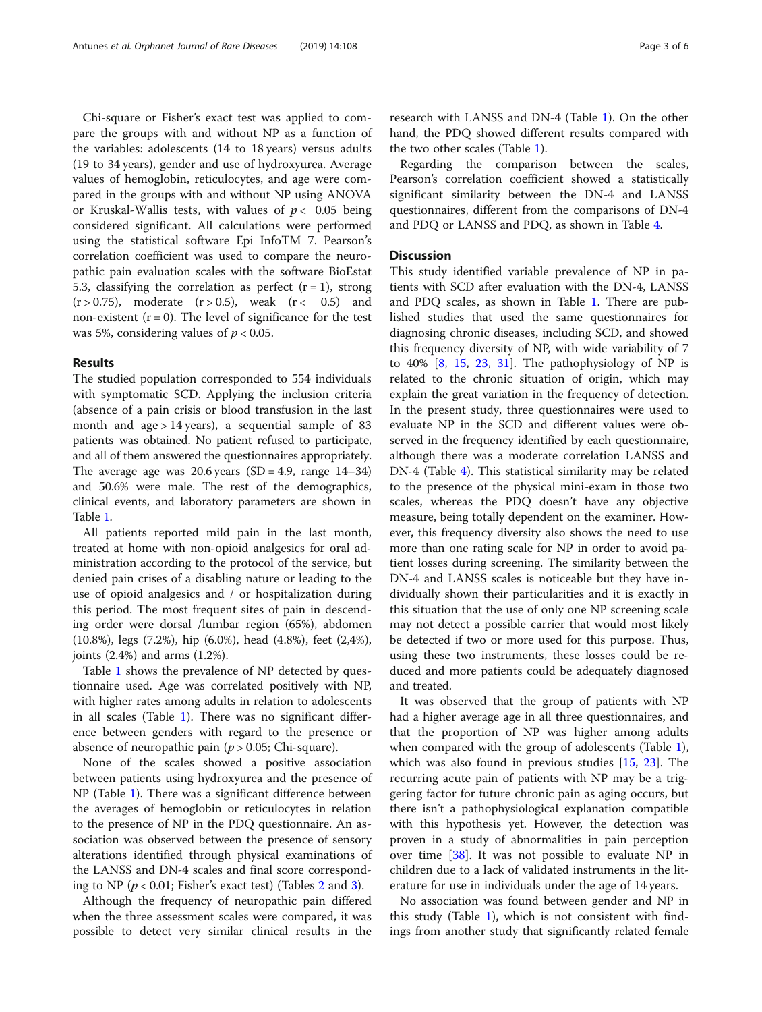Chi-square or Fisher's exact test was applied to compare the groups with and without NP as a function of the variables: adolescents (14 to 18 years) versus adults (19 to 34 years), gender and use of hydroxyurea. Average values of hemoglobin, reticulocytes, and age were compared in the groups with and without NP using ANOVA or Kruskal-Wallis tests, with values of  $p < 0.05$  being considered significant. All calculations were performed using the statistical software Epi InfoTM 7. Pearson's correlation coefficient was used to compare the neuropathic pain evaluation scales with the software BioEstat 5.3, classifying the correlation as perfect  $(r = 1)$ , strong  $(r > 0.75)$ , moderate  $(r > 0.5)$ , weak  $(r < 0.5)$  and non-existent  $(r = 0)$ . The level of significance for the test was 5%, considering values of  $p < 0.05$ .

# Results

The studied population corresponded to 554 individuals with symptomatic SCD. Applying the inclusion criteria (absence of a pain crisis or blood transfusion in the last month and age  $> 14$  years), a sequential sample of 83 patients was obtained. No patient refused to participate, and all of them answered the questionnaires appropriately. The average age was  $20.6$  years (SD = 4.9, range  $14-34$ ) and 50.6% were male. The rest of the demographics, clinical events, and laboratory parameters are shown in Table [1.](#page-3-0)

All patients reported mild pain in the last month, treated at home with non-opioid analgesics for oral administration according to the protocol of the service, but denied pain crises of a disabling nature or leading to the use of opioid analgesics and / or hospitalization during this period. The most frequent sites of pain in descending order were dorsal /lumbar region (65%), abdomen (10.8%), legs (7.2%), hip (6.0%), head (4.8%), feet (2,4%), joints (2.4%) and arms (1.2%).

Table [1](#page-3-0) shows the prevalence of NP detected by questionnaire used. Age was correlated positively with NP, with higher rates among adults in relation to adolescents in all scales (Table [1\)](#page-3-0). There was no significant difference between genders with regard to the presence or absence of neuropathic pain ( $p > 0.05$ ; Chi-square).

None of the scales showed a positive association between patients using hydroxyurea and the presence of NP (Table [1](#page-3-0)). There was a significant difference between the averages of hemoglobin or reticulocytes in relation to the presence of NP in the PDQ questionnaire. An association was observed between the presence of sensory alterations identified through physical examinations of the LANSS and DN-4 scales and final score corresponding to NP ( $p < 0.01$ ; Fisher's exact test) (Tables [2](#page-3-0) and [3\)](#page-3-0).

Although the frequency of neuropathic pain differed when the three assessment scales were compared, it was possible to detect very similar clinical results in the

research with LANSS and DN-4 (Table [1\)](#page-3-0). On the other hand, the PDQ showed different results compared with the two other scales (Table [1\)](#page-3-0).

Regarding the comparison between the scales, Pearson's correlation coefficient showed a statistically significant similarity between the DN-4 and LANSS questionnaires, different from the comparisons of DN-4 and PDQ or LANSS and PDQ, as shown in Table [4.](#page-4-0)

# **Discussion**

This study identified variable prevalence of NP in patients with SCD after evaluation with the DN-4, LANSS and PDQ scales, as shown in Table [1.](#page-3-0) There are published studies that used the same questionnaires for diagnosing chronic diseases, including SCD, and showed this frequency diversity of NP, with wide variability of 7 to  $40\%$   $[8, 15, 23, 31]$  $[8, 15, 23, 31]$  $[8, 15, 23, 31]$  $[8, 15, 23, 31]$  $[8, 15, 23, 31]$  $[8, 15, 23, 31]$  $[8, 15, 23, 31]$  $[8, 15, 23, 31]$ . The pathophysiology of NP is related to the chronic situation of origin, which may explain the great variation in the frequency of detection. In the present study, three questionnaires were used to evaluate NP in the SCD and different values were observed in the frequency identified by each questionnaire, although there was a moderate correlation LANSS and DN-4 (Table [4\)](#page-4-0). This statistical similarity may be related to the presence of the physical mini-exam in those two scales, whereas the PDQ doesn't have any objective measure, being totally dependent on the examiner. However, this frequency diversity also shows the need to use more than one rating scale for NP in order to avoid patient losses during screening. The similarity between the DN-4 and LANSS scales is noticeable but they have individually shown their particularities and it is exactly in this situation that the use of only one NP screening scale may not detect a possible carrier that would most likely be detected if two or more used for this purpose. Thus, using these two instruments, these losses could be reduced and more patients could be adequately diagnosed and treated.

It was observed that the group of patients with NP had a higher average age in all three questionnaires, and that the proportion of NP was higher among adults when compared with the group of adolescents (Table [1](#page-3-0)), which was also found in previous studies [\[15,](#page-5-0) [23\]](#page-5-0). The recurring acute pain of patients with NP may be a triggering factor for future chronic pain as aging occurs, but there isn't a pathophysiological explanation compatible with this hypothesis yet. However, the detection was proven in a study of abnormalities in pain perception over time [[38\]](#page-5-0). It was not possible to evaluate NP in children due to a lack of validated instruments in the literature for use in individuals under the age of 14 years.

No association was found between gender and NP in this study (Table [1](#page-3-0)), which is not consistent with findings from another study that significantly related female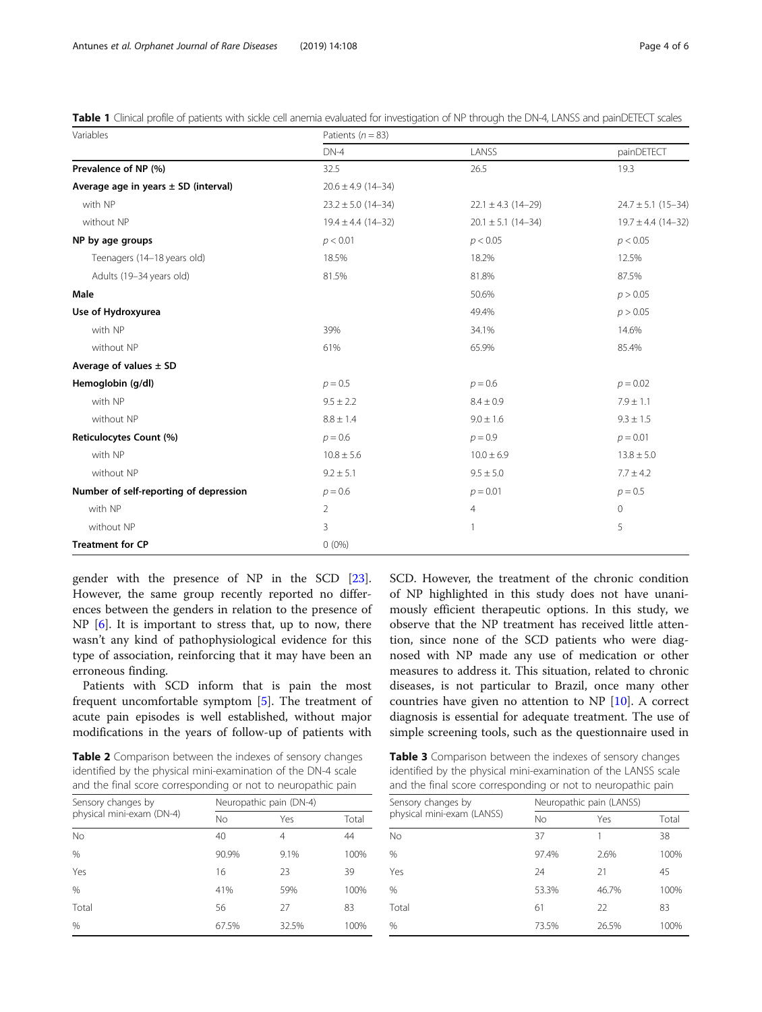| Variables                                | Patients ( $n = 83$ )  |                        |                        |  |
|------------------------------------------|------------------------|------------------------|------------------------|--|
|                                          | $DN-4$                 | LANSS                  | painDETECT             |  |
| Prevalence of NP (%)                     | 32.5                   | 26.5                   | 19.3                   |  |
| Average age in years $\pm$ SD (interval) | $20.6 \pm 4.9$ (14-34) |                        |                        |  |
| with NP                                  | $23.2 \pm 5.0$ (14-34) | $22.1 \pm 4.3$ (14-29) | $24.7 \pm 5.1$ (15-34) |  |
| without NP                               | $19.4 \pm 4.4$ (14-32) | $20.1 \pm 5.1$ (14-34) | $19.7 \pm 4.4$ (14-32) |  |
| NP by age groups                         | p < 0.01               | p < 0.05               | p < 0.05               |  |
| Teenagers (14-18 years old)              | 18.5%                  | 18.2%                  | 12.5%                  |  |
| Adults (19-34 years old)                 | 81.5%                  | 81.8%                  | 87.5%                  |  |
| Male                                     |                        | 50.6%                  | p > 0.05               |  |
| Use of Hydroxyurea                       |                        | 49.4%                  | p > 0.05               |  |
| with NP                                  | 39%                    | 34.1%                  | 14.6%                  |  |
| without NP                               | 61%                    | 65.9%                  | 85.4%                  |  |
| Average of values $\pm$ SD               |                        |                        |                        |  |
| Hemoglobin (g/dl)                        | $p = 0.5$              | $p = 0.6$              | $p = 0.02$             |  |
| with NP                                  | $9.5 \pm 2.2$          | $8.4 \pm 0.9$          | $7.9 \pm 1.1$          |  |
| without NP                               | $8.8 \pm 1.4$          | $9.0 \pm 1.6$          | $9.3 \pm 1.5$          |  |
| Reticulocytes Count (%)                  | $p = 0.6$              | $p = 0.9$              | $p = 0.01$             |  |
| with NP                                  | $10.8 \pm 5.6$         | $10.0 \pm 6.9$         | $13.8 \pm 5.0$         |  |
| without NP                               | $9.2 \pm 5.1$          | $9.5 \pm 5.0$          | $7.7 \pm 4.2$          |  |
| Number of self-reporting of depression   | $p = 0.6$              | $p = 0.01$             | $p = 0.5$              |  |
| with NP                                  | $\overline{2}$         | $\overline{4}$         | $\circ$                |  |
| without NP                               | 3                      | $\mathbf{1}$           | 5                      |  |
| <b>Treatment for CP</b>                  | $0(0\%)$               |                        |                        |  |

<span id="page-3-0"></span>Table 1 Clinical profile of patients with sickle cell anemia evaluated for investigation of NP through the DN-4, LANSS and painDETECT scales

gender with the presence of NP in the SCD [\[23](#page-5-0)]. However, the same group recently reported no differences between the genders in relation to the presence of NP [[6\]](#page-5-0). It is important to stress that, up to now, there wasn't any kind of pathophysiological evidence for this type of association, reinforcing that it may have been an erroneous finding.

Patients with SCD inform that is pain the most frequent uncomfortable symptom [\[5](#page-5-0)]. The treatment of acute pain episodes is well established, without major modifications in the years of follow-up of patients with

Table 2 Comparison between the indexes of sensory changes identified by the physical mini-examination of the DN-4 scale and the final score corresponding or not to neuropathic pain

| Sensory changes by        | Neuropathic pain (DN-4) |       |       |
|---------------------------|-------------------------|-------|-------|
| physical mini-exam (DN-4) | No                      | Yes   | Total |
| No                        | 40                      | 4     | 44    |
| $\frac{0}{0}$             | 90.9%                   | 9.1%  | 100%  |
| Yes                       | 16                      | 23    | 39    |
| $\frac{0}{0}$             | 41%                     | 59%   | 100%  |
| Total                     | 56                      | 27    | 83    |
| $\%$                      | 67.5%                   | 32.5% | 100%  |

SCD. However, the treatment of the chronic condition of NP highlighted in this study does not have unanimously efficient therapeutic options. In this study, we observe that the NP treatment has received little attention, since none of the SCD patients who were diagnosed with NP made any use of medication or other measures to address it. This situation, related to chronic diseases, is not particular to Brazil, once many other countries have given no attention to NP [\[10](#page-5-0)]. A correct diagnosis is essential for adequate treatment. The use of simple screening tools, such as the questionnaire used in

Table 3 Comparison between the indexes of sensory changes identified by the physical mini-examination of the LANSS scale and the final score corresponding or not to neuropathic pain

| Sensory changes by<br>physical mini-exam (LANSS) | Neuropathic pain (LANSS) |       |       |
|--------------------------------------------------|--------------------------|-------|-------|
|                                                  | No                       | Yes   | Total |
| No                                               | 37                       |       | 38    |
| $\frac{1}{2}$                                    | 97.4%                    | 2.6%  | 100%  |
| Yes                                              | 24                       | 21    | 45    |
| %                                                | 53.3%                    | 46.7% | 100%  |
| Total                                            | 61                       | 22    | 83    |
| %                                                | 73.5%                    | 26.5% | 100%  |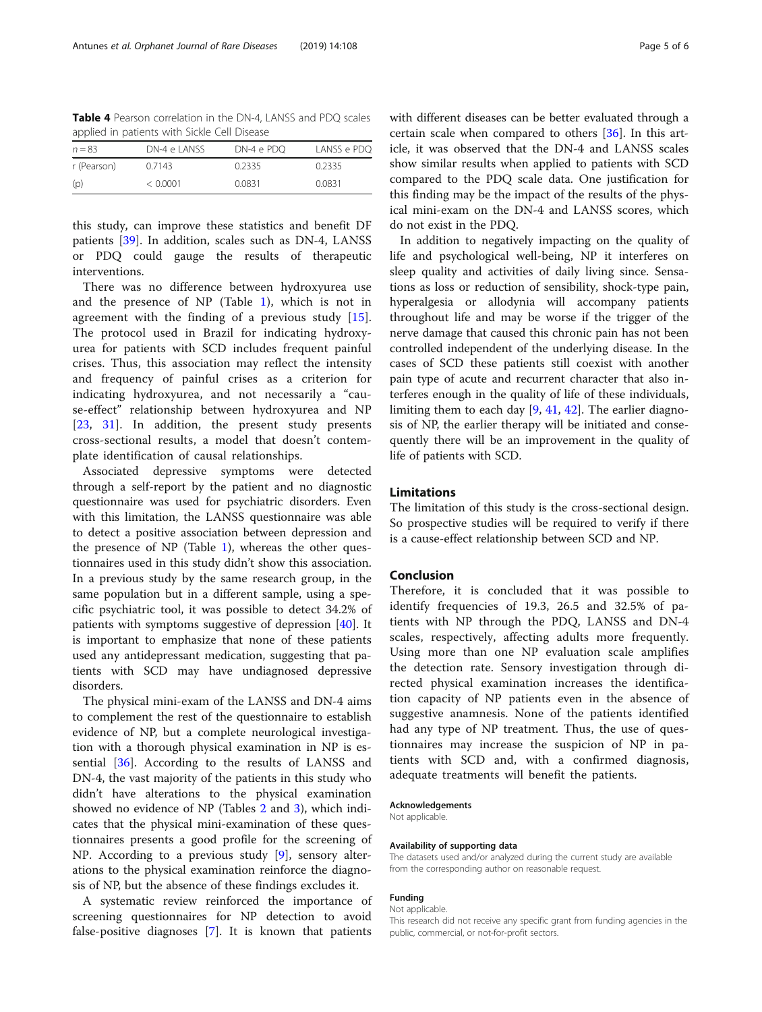<span id="page-4-0"></span>Table 4 Pearson correlation in the DN-4, LANSS and PDQ scales applied in patients with Sickle Cell Disease

| $n = 83$    | DN-4 e LANSS | DN-4 e PDO | LANSS e PDO |
|-------------|--------------|------------|-------------|
| r (Pearson) | 0.7143       | 0.2335     | 0.2335      |
| (p)         | < 0.0001     | 0.0831     | 0.0831      |

this study, can improve these statistics and benefit DF patients [\[39](#page-5-0)]. In addition, scales such as DN-4, LANSS or PDQ could gauge the results of therapeutic interventions.

There was no difference between hydroxyurea use and the presence of NP (Table [1](#page-3-0)), which is not in agreement with the finding of a previous study [[15](#page-5-0)]. The protocol used in Brazil for indicating hydroxyurea for patients with SCD includes frequent painful crises. Thus, this association may reflect the intensity and frequency of painful crises as a criterion for indicating hydroxyurea, and not necessarily a "cause-effect" relationship between hydroxyurea and NP [[23,](#page-5-0) [31](#page-5-0)]. In addition, the present study presents cross-sectional results, a model that doesn't contemplate identification of causal relationships.

Associated depressive symptoms were detected through a self-report by the patient and no diagnostic questionnaire was used for psychiatric disorders. Even with this limitation, the LANSS questionnaire was able to detect a positive association between depression and the presence of NP (Table [1](#page-3-0)), whereas the other questionnaires used in this study didn't show this association. In a previous study by the same research group, in the same population but in a different sample, using a specific psychiatric tool, it was possible to detect 34.2% of patients with symptoms suggestive of depression [\[40](#page-5-0)]. It is important to emphasize that none of these patients used any antidepressant medication, suggesting that patients with SCD may have undiagnosed depressive disorders.

The physical mini-exam of the LANSS and DN-4 aims to complement the rest of the questionnaire to establish evidence of NP, but a complete neurological investigation with a thorough physical examination in NP is essential [[36\]](#page-5-0). According to the results of LANSS and DN-4, the vast majority of the patients in this study who didn't have alterations to the physical examination showed no evidence of NP (Tables [2](#page-3-0) and [3\)](#page-3-0), which indicates that the physical mini-examination of these questionnaires presents a good profile for the screening of NP. According to a previous study [[9\]](#page-5-0), sensory alterations to the physical examination reinforce the diagnosis of NP, but the absence of these findings excludes it.

A systematic review reinforced the importance of screening questionnaires for NP detection to avoid false-positive diagnoses [\[7](#page-5-0)]. It is known that patients

with different diseases can be better evaluated through a certain scale when compared to others [\[36\]](#page-5-0). In this article, it was observed that the DN-4 and LANSS scales show similar results when applied to patients with SCD compared to the PDQ scale data. One justification for this finding may be the impact of the results of the physical mini-exam on the DN-4 and LANSS scores, which do not exist in the PDQ.

In addition to negatively impacting on the quality of life and psychological well-being, NP it interferes on sleep quality and activities of daily living since. Sensations as loss or reduction of sensibility, shock-type pain, hyperalgesia or allodynia will accompany patients throughout life and may be worse if the trigger of the nerve damage that caused this chronic pain has not been controlled independent of the underlying disease. In the cases of SCD these patients still coexist with another pain type of acute and recurrent character that also interferes enough in the quality of life of these individuals, limiting them to each day [[9](#page-5-0), [41](#page-5-0), [42](#page-5-0)]. The earlier diagnosis of NP, the earlier therapy will be initiated and consequently there will be an improvement in the quality of life of patients with SCD.

# Limitations

The limitation of this study is the cross-sectional design. So prospective studies will be required to verify if there is a cause-effect relationship between SCD and NP.

# Conclusion

Therefore, it is concluded that it was possible to identify frequencies of 19.3, 26.5 and 32.5% of patients with NP through the PDQ, LANSS and DN-4 scales, respectively, affecting adults more frequently. Using more than one NP evaluation scale amplifies the detection rate. Sensory investigation through directed physical examination increases the identification capacity of NP patients even in the absence of suggestive anamnesis. None of the patients identified had any type of NP treatment. Thus, the use of questionnaires may increase the suspicion of NP in patients with SCD and, with a confirmed diagnosis, adequate treatments will benefit the patients.

#### Acknowledgements

Not applicable.

#### Availability of supporting data

The datasets used and/or analyzed during the current study are available from the corresponding author on reasonable request.

#### Funding Not applicable.

This research did not receive any specific grant from funding agencies in the public, commercial, or not-for-profit sectors.